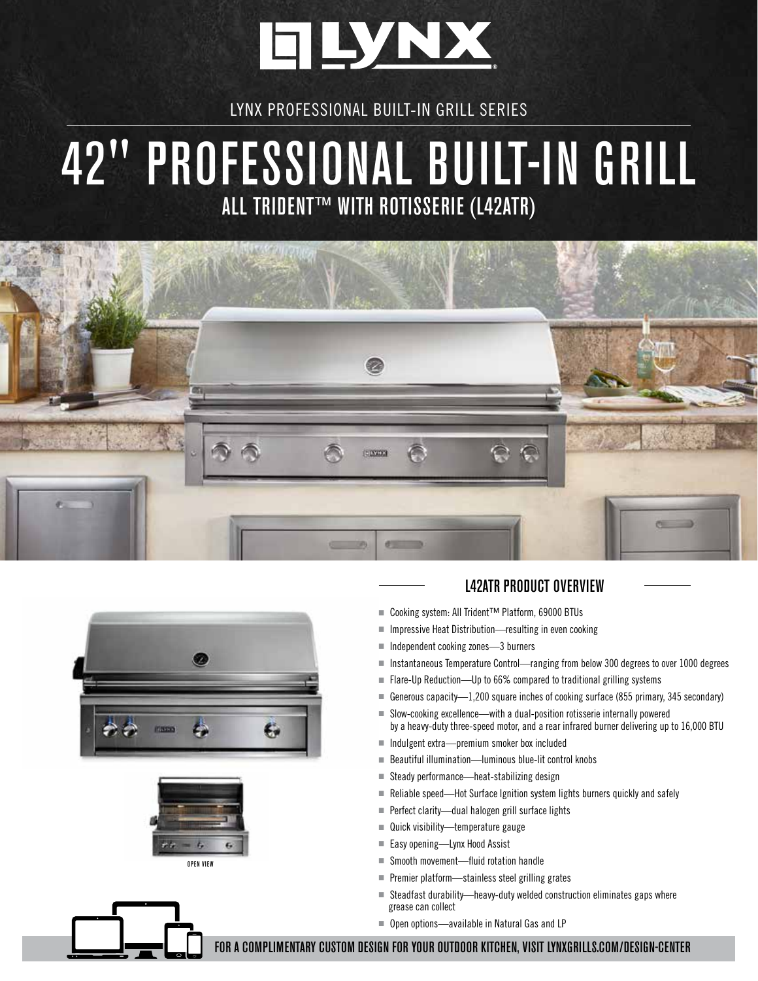

LYNX PROFESSIONAL BUILT-IN GRILL SERIES

## 42" PROFESSIONAL BUILT-IN GRILL ALL TRIDENT™ WITH ROTISSERIE (L42ATR)







## L42ATR PRODUCT OVERVIEW

- Cooking system: All Trident™ Platform, 69000 BTUs
- Impressive Heat Distribution—resulting in even cooking
- Independent cooking zones—3 burners
- Instantaneous Temperature Control—ranging from below 300 degrees to over 1000 degrees
- Flare-Up Reduction—Up to 66% compared to traditional grilling systems
- Generous capacity—1,200 square inches of cooking surface (855 primary, 345 secondary)
- Slow-cooking excellence—with a dual-position rotisserie internally powered by a heavy-duty three-speed motor, and a rear infrared burner delivering up to 16,000 BTU
- Indulgent extra—premium smoker box included
- Beautiful illumination—luminous blue-lit control knobs
- Steady performance—heat-stabilizing design
- Reliable speed—Hot Surface Ignition system lights burners quickly and safely
- Perfect clarity—dual halogen grill surface lights
- Quick visibility—temperature gauge
- Easy opening—Lynx Hood Assist
- Smooth movement—fluid rotation handle
- Premier platform—stainless steel grilling grates
- Steadfast durability—heavy-duty welded construction eliminates gaps where grease can collect
- Open options—available in Natural Gas and LP